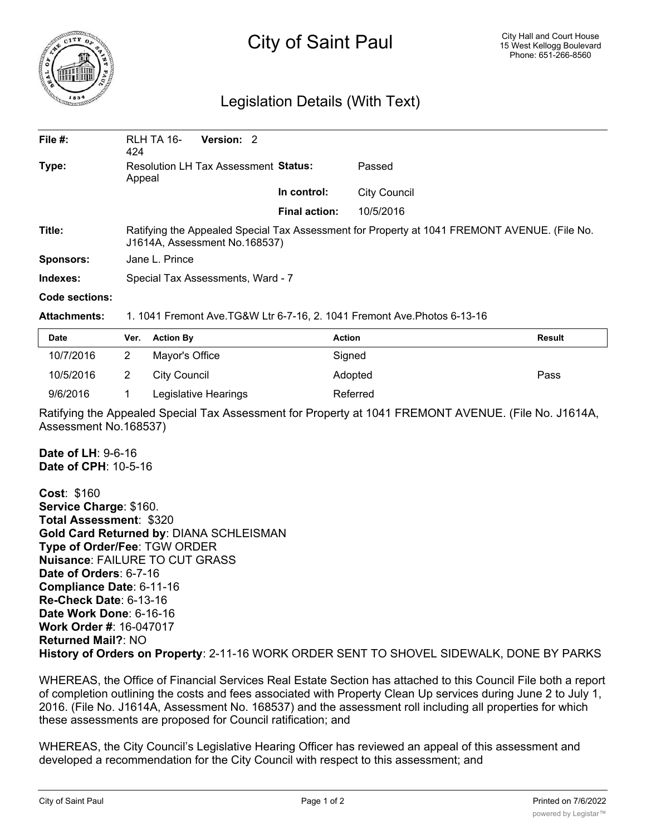

## City of Saint Paul

## Legislation Details (With Text)

| File $#$ :       | RLH TA 16-<br>424                                                                                                              | Version: 2 |                      |                     |  |  |
|------------------|--------------------------------------------------------------------------------------------------------------------------------|------------|----------------------|---------------------|--|--|
| Type:            | Resolution LH Tax Assessment Status:<br>Appeal                                                                                 |            |                      | Passed              |  |  |
|                  |                                                                                                                                |            | In control:          | <b>City Council</b> |  |  |
|                  |                                                                                                                                |            | <b>Final action:</b> | 10/5/2016           |  |  |
| Title:           | Ratifying the Appealed Special Tax Assessment for Property at 1041 FREMONT AVENUE. (File No.<br>J1614A, Assessment No. 168537) |            |                      |                     |  |  |
| <b>Sponsors:</b> | Jane L. Prince                                                                                                                 |            |                      |                     |  |  |
| Indexes:         | Special Tax Assessments, Ward - 7                                                                                              |            |                      |                     |  |  |

## **Code sections:**

## **Attachments:** 1. 1041 Fremont Ave.TG&W Ltr 6-7-16, 2. 1041 Fremont Ave.Photos 6-13-16

| <b>Date</b> | Ver. | <b>Action By</b>     | <b>Action</b> | <b>Result</b> |
|-------------|------|----------------------|---------------|---------------|
| 10/7/2016   |      | Mayor's Office       | Signed        |               |
| 10/5/2016   |      | City Council         | Adopted       | Pass          |
| 9/6/2016    |      | Legislative Hearings | Referred      |               |

Ratifying the Appealed Special Tax Assessment for Property at 1041 FREMONT AVENUE. (File No. J1614A, Assessment No.168537)

**Date of LH**: 9-6-16 **Date of CPH**: 10-5-16

**Cost**: \$160 **Service Charge**: \$160. **Total Assessment**: \$320 **Gold Card Returned by**: DIANA SCHLEISMAN **Type of Order/Fee**: TGW ORDER **Nuisance**: FAILURE TO CUT GRASS **Date of Orders**: 6-7-16 **Compliance Date**: 6-11-16 **Re-Check Date**: 6-13-16 **Date Work Done**: 6-16-16 **Work Order #**: 16-047017 **Returned Mail?**: NO **History of Orders on Property**: 2-11-16 WORK ORDER SENT TO SHOVEL SIDEWALK, DONE BY PARKS

WHEREAS, the Office of Financial Services Real Estate Section has attached to this Council File both a report of completion outlining the costs and fees associated with Property Clean Up services during June 2 to July 1, 2016. (File No. J1614A, Assessment No. 168537) and the assessment roll including all properties for which these assessments are proposed for Council ratification; and

WHEREAS, the City Council's Legislative Hearing Officer has reviewed an appeal of this assessment and developed a recommendation for the City Council with respect to this assessment; and